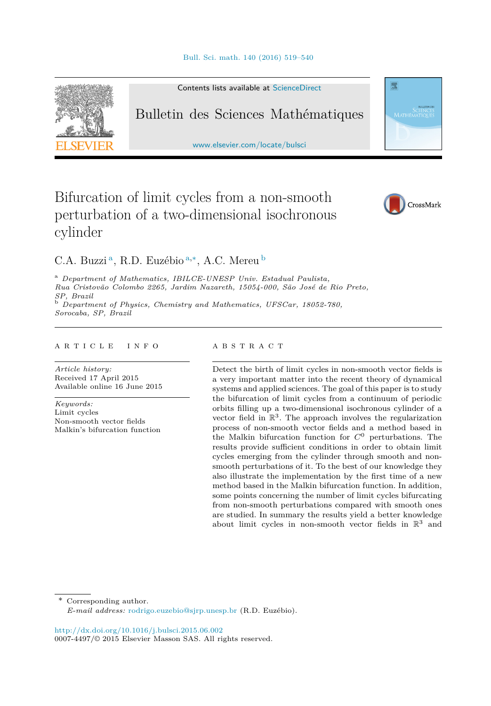

Contents lists available at [ScienceDirect](http://www.ScienceDirect.com/)

# Bulletin des Sciences Mathématiques

[www.elsevier.com/locate/bulsci](http://www.elsevier.com/locate/bulsci)

# Bifurcation of limit cycles from a non-smooth perturbation of a two-dimensional isochronous cylinder



靈

C.A. Buzzi <sup>a</sup>, R.D. Euzébio <sup>a</sup>*,*∗, A.C. Mereu <sup>b</sup>

<sup>a</sup> *Department of Mathematics, IBILCE-UNESP Univ. Estadual Paulista, Rua Cristovão Colombo 2265, Jardim Nazareth, 15054-000, São José de Rio Preto, SP, Brazil* <sup>b</sup> *Department of Physics, Chemistry and Mathematics, UFSCar, 18052-780, Sorocaba, SP, Brazil*

#### A R T I C L E I N F O A B S T R A C T

*Article history:* Received 17 April 2015 Available online 16 June 2015

*Keywords:* Limit cycles Non-smooth vector fields Malkin's bifurcation function

Detect the birth of limit cycles in non-smooth vector fields is a very important matter into the recent theory of dynamical systems and applied sciences. The goal of this paper is to study the bifurcation of limit cycles from a continuum of periodic orbits filling up a two-dimensional isochronous cylinder of a vector field in  $\mathbb{R}^3$ . The approach involves the regularization process of non-smooth vector fields and a method based in the Malkin bifurcation function for *C*<sup>0</sup> perturbations. The results provide sufficient conditions in order to obtain limit cycles emerging from the cylinder through smooth and nonsmooth perturbations of it. To the best of our knowledge they also illustrate the implementation by the first time of a new method based in the Malkin bifurcation function. In addition, some points concerning the number of limit cycles bifurcating from non-smooth perturbations compared with smooth ones are studied. In summary the results yield a better knowledge about limit cycles in non-smooth vector fields in  $\mathbb{R}^3$  and

Corresponding author.

<http://dx.doi.org/10.1016/j.bulsci.2015.06.002> 0007-4497/© 2015 Elsevier Masson SAS. All rights reserved.

*E-mail address:* [rodrigo.euzebio@sjrp.unesp.br](mailto:rodrigo.euzebio@sjrp.unesp.br) (R.D. Euzébio).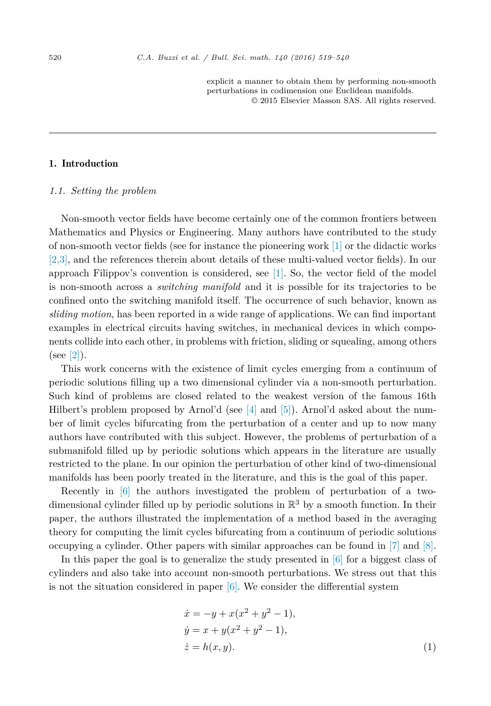explicit a manner to obtain them by performing non-smooth perturbations in codimension one Euclidean manifolds. © 2015 Elsevier Masson SAS. All rights reserved.

# <span id="page-1-0"></span>1. Introduction

#### *1.1. Setting the problem*

Non-smooth vector fields have become certainly one of the common frontiers between Mathematics and Physics or Engineering. Many authors have contributed to the study of non-smooth vector fields (see for instance the pioneering work [\[1\]](#page-21-0) or the didactic works [\[2,3\],](#page-21-0) and the references therein about details of these multi-valued vector fields). In our approach Filippov's convention is considered, see [\[1\].](#page-21-0) So, the vector field of the model is non-smooth across a *switching manifold* and it is possible for its trajectories to be confined onto the switching manifold itself. The occurrence of such behavior, known as *sliding motion*, has been reported in a wide range of applications. We can find important examples in electrical circuits having switches, in mechanical devices in which components collide into each other, in problems with friction, sliding or squealing, among others  $(see [2]).$  $(see [2]).$  $(see [2]).$ 

This work concerns with the existence of limit cycles emerging from a continuum of periodic solutions filling up a two dimensional cylinder via a non-smooth perturbation. Such kind of problems are closed related to the weakest version of the famous 16th Hilbert's problem proposed by Arnol'd (see  $[4]$  and  $[5]$ ). Arnol'd asked about the number of limit cycles bifurcating from the perturbation of a center and up to now many authors have contributed with this subject. However, the problems of perturbation of a submanifold filled up by periodic solutions which appears in the literature are usually restricted to the plane. In our opinion the perturbation of other kind of two-dimensional manifolds has been poorly treated in the literature, and this is the goal of this paper.

Recently in [\[6\]](#page-21-0) the authors investigated the problem of perturbation of a twodimensional cylinder filled up by periodic solutions in  $\mathbb{R}^3$  by a smooth function. In their paper, the authors illustrated the implementation of a method based in the averaging theory for computing the limit cycles bifurcating from a continuum of periodic solutions occupying a cylinder. Other papers with similar approaches can be found in [\[7\]](#page-21-0) and [\[8\].](#page-21-0)

In this paper the goal is to generalize the study presented in  $[6]$  for a biggest class of cylinders and also take into account non-smooth perturbations. We stress out that this is not the situation considered in paper [\[6\].](#page-21-0) We consider the differential system

$$
\begin{aligned}\n\dot{x} &= -y + x(x^2 + y^2 - 1), \\
\dot{y} &= x + y(x^2 + y^2 - 1), \\
\dot{z} &= h(x, y).\n\end{aligned} \tag{1}
$$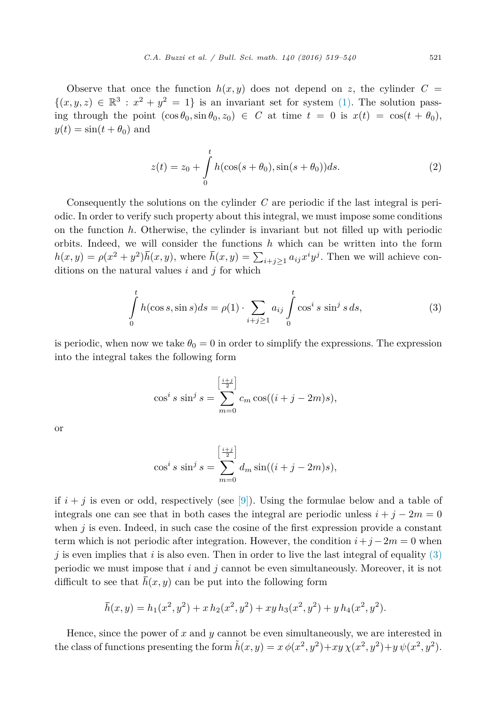Observe that once the function  $h(x, y)$  does not depend on z, the cylinder  $C =$  $\{(x, y, z) \in \mathbb{R}^3 : x^2 + y^2 = 1\}$  is an invariant set for system [\(1\).](#page-1-0) The solution passing through the point  $(\cos \theta_0, \sin \theta_0, z_0) \in C$  at time  $t = 0$  is  $x(t) = \cos(t + \theta_0)$ ,  $y(t) = \sin(t + \theta_0)$  and

$$
z(t) = z_0 + \int_{0}^{t} h(\cos(s + \theta_0), \sin(s + \theta_0))ds.
$$
 (2)

Consequently the solutions on the cylinder *C* are periodic if the last integral is periodic. In order to verify such property about this integral, we must impose some conditions on the function *h*. Otherwise, the cylinder is invariant but not filled up with periodic orbits. Indeed, we will consider the functions *h* which can be written into the form  $h(x,y) = \rho(x^2 + y^2)\bar{h}(x,y)$ , where  $\bar{h}(x,y) = \sum_{i+j\geq 1} a_{ij}x^i y^j$ . Then we will achieve conditions on the natural values *i* and *j* for which

$$
\int_{0}^{t} h(\cos s, \sin s)ds = \rho(1) \cdot \sum_{i+j \ge 1} a_{ij} \int_{0}^{t} \cos^{i} s \sin^{j} s ds,
$$
\n(3)

is periodic, when now we take  $\theta_0 = 0$  in order to simplify the expressions. The expression into the integral takes the following form

$$
\cos^{i} s \sin^{j} s = \sum_{m=0}^{\left[\frac{i+j}{2}\right]} c_{m} \cos((i+j-2m)s),
$$

or

$$
\cos^{i} s \sin^{j} s = \sum_{m=0}^{\left[\frac{i+j}{2}\right]} d_{m} \sin((i+j-2m)s),
$$

if  $i + j$  is even or odd, respectively (see [\[9\]\)](#page-21-0). Using the formulae below and a table of integrals one can see that in both cases the integral are periodic unless  $i + j - 2m = 0$ when  $j$  is even. Indeed, in such case the cosine of the first expression provide a constant term which is not periodic after integration. However, the condition  $i+j-2m=0$  when  $j$  is even implies that *i* is also even. Then in order to live the last integral of equality  $(3)$ periodic we must impose that *i* and *j* cannot be even simultaneously. Moreover, it is not difficult to see that  $\bar{h}(x, y)$  can be put into the following form

$$
\overline{h}(x,y) = h_1(x^2, y^2) + x h_2(x^2, y^2) + xy h_3(x^2, y^2) + y h_4(x^2, y^2).
$$

Hence, since the power of *x* and *y* cannot be even simultaneously, we are interested in the class of functions presenting the form  $\tilde{h}(x, y) = x \phi(x^2, y^2) + xy \chi(x^2, y^2) + y \psi(x^2, y^2)$ .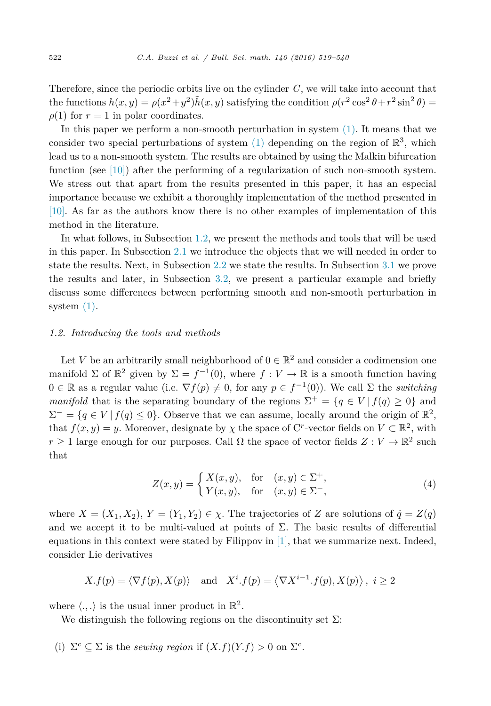Therefore, since the periodic orbits live on the cylinder *C*, we will take into account that the functions  $h(x, y) = \rho(x^2 + y^2)\tilde{h}(x, y)$  satisfying the condition  $\rho(r^2 \cos^2 \theta + r^2 \sin^2 \theta)$  $\rho(1)$  for  $r = 1$  in polar coordinates.

In this paper we perform a non-smooth perturbation in system [\(1\).](#page-1-0) It means that we consider two special perturbations of system [\(1\)](#page-1-0) depending on the region of  $\mathbb{R}^3$ , which lead us to a non-smooth system. The results are obtained by using the Malkin bifurcation function (see [\[10\]\)](#page-21-0) after the performing of a regularization of such non-smooth system. We stress out that apart from the results presented in this paper, it has an especial importance because we exhibit a thoroughly implementation of the method presented in [\[10\].](#page-21-0) As far as the authors know there is no other examples of implementation of this method in the literature.

In what follows, in Subsection 1.2, we present the methods and tools that will be used in this paper. In Subsection [2.1](#page-7-0) we introduce the objects that we will needed in order to state the results. Next, in Subsection [2.2](#page-9-0) we state the results. In Subsection [3.1](#page-10-0) we prove the results and later, in Subsection [3.2,](#page-17-0) we present a particular example and briefly discuss some differences between performing smooth and non-smooth perturbation in system  $(1)$ .

## *1.2. Introducing the tools and methods*

Let *V* be an arbitrarily small neighborhood of  $0 \in \mathbb{R}^2$  and consider a codimension one manifold  $\Sigma$  of  $\mathbb{R}^2$  given by  $\Sigma = f^{-1}(0)$ , where  $f: V \to \mathbb{R}$  is a smooth function having  $0 \in \mathbb{R}$  as a regular value (i.e.  $\nabla f(p) \neq 0$ , for any  $p \in f^{-1}(0)$ ). We call  $\Sigma$  the *switching manifold* that is the separating boundary of the regions  $\Sigma^+ = \{q \in V \mid f(q) \geq 0\}$  and  $\Sigma^- = \{q \in V \mid f(q) \leq 0\}$ . Observe that we can assume, locally around the origin of  $\mathbb{R}^2$ , that  $f(x, y) = y$ . Moreover, designate by  $\chi$  the space of C<sup>*r*</sup>-vector fields on  $V \subset \mathbb{R}^2$ , with *r* ≥ 1 large enough for our purposes. Call  $\Omega$  the space of vector fields  $Z: V \to \mathbb{R}^2$  such that

$$
Z(x,y) = \begin{cases} X(x,y), & \text{for} \quad (x,y) \in \Sigma^+, \\ Y(x,y), & \text{for} \quad (x,y) \in \Sigma^-, \end{cases} \tag{4}
$$

where  $X = (X_1, X_2), Y = (Y_1, Y_2) \in \chi$ . The trajectories of *Z* are solutions of  $\dot{q} = Z(q)$ and we accept it to be multi-valued at points of  $\Sigma$ . The basic results of differential equations in this context were stated by Filippov in  $[1]$ , that we summarize next. Indeed, consider Lie derivatives

$$
X. f(p) = \langle \nabla f(p), X(p) \rangle
$$
 and  $X^i. f(p) = \langle \nabla X^{i-1}. f(p), X(p) \rangle$ ,  $i \ge 2$ 

where  $\langle .,.\rangle$  is the usual inner product in  $\mathbb{R}^2$ .

We distinguish the following regions on the discontinuity set  $\Sigma$ :

(i)  $\Sigma^c \subseteq \Sigma$  is the *sewing region* if  $(X.f)(Y.f) > 0$  on  $\Sigma^c$ .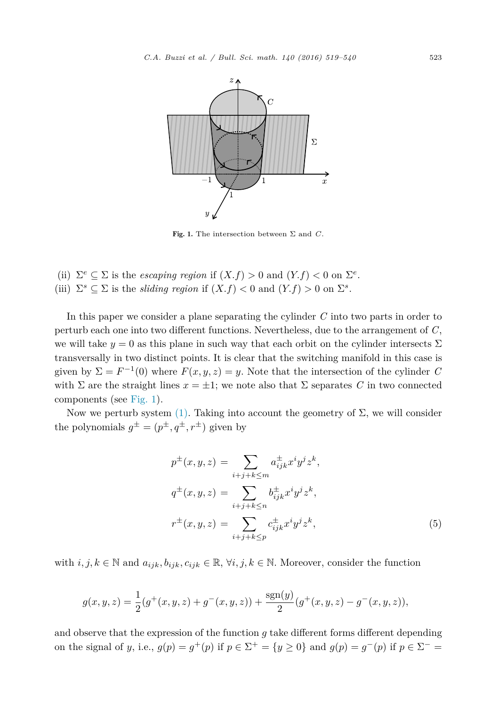<span id="page-4-0"></span>

Fig. 1. The intersection between  $\Sigma$  and  $C$ .

(ii)  $\Sigma^e \subseteq \Sigma$  is the *escaping region* if  $(X.f) > 0$  and  $(Y.f) < 0$  on  $\Sigma^e$ . (iii)  $\Sigma^s \subseteq \Sigma$  is the *sliding region* if  $(X.f) < 0$  and  $(Y.f) > 0$  on  $\Sigma^s$ .

In this paper we consider a plane separating the cylinder *C* into two parts in order to perturb each one into two different functions. Nevertheless, due to the arrangement of *C*, we will take  $y = 0$  as this plane in such way that each orbit on the cylinder intersects  $\Sigma$ transversally in two distinct points. It is clear that the switching manifold in this case is given by  $\Sigma = F^{-1}(0)$  where  $F(x, y, z) = y$ . Note that the intersection of the cylinder *C* with  $\Sigma$  are the straight lines  $x = \pm 1$ ; we note also that  $\Sigma$  separates C in two connected components (see Fig. 1).

Now we perturb system [\(1\).](#page-1-0) Taking into account the geometry of  $\Sigma$ , we will consider the polynomials  $g^{\pm} = (p^{\pm}, q^{\pm}, r^{\pm})$  given by

$$
p^{\pm}(x, y, z) = \sum_{i+j+k \le m} a_{ijk}^{\pm} x^i y^j z^k,
$$
  
\n
$$
q^{\pm}(x, y, z) = \sum_{i+j+k \le n} b_{ijk}^{\pm} x^i y^j z^k,
$$
  
\n
$$
r^{\pm}(x, y, z) = \sum_{i+j+k \le p} c_{ijk}^{\pm} x^i y^j z^k,
$$
\n(5)

with  $i, j, k \in \mathbb{N}$  and  $a_{ijk}, b_{ijk}, c_{ijk} \in \mathbb{R}, \forall i, j, k \in \mathbb{N}$ . Moreover, consider the function

$$
g(x, y, z) = \frac{1}{2}(g^+(x, y, z) + g^-(x, y, z)) + \frac{\text{sgn}(y)}{2}(g^+(x, y, z) - g^-(x, y, z)),
$$

and observe that the expression of the function *g* take different forms different depending on the signal of *y*, i.e.,  $g(p) = g^+(p)$  if  $p \in \Sigma^+ = \{y \ge 0\}$  and  $g(p) = g^-(p)$  if  $p \in \Sigma^- =$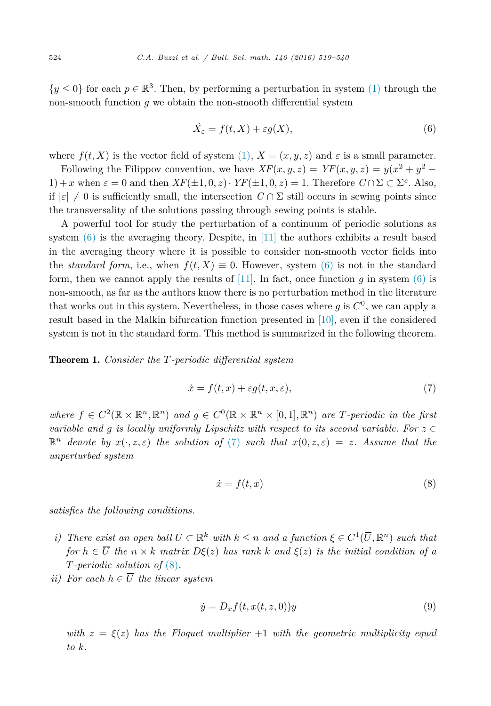<span id="page-5-0"></span> $\{y \leq 0\}$  for each  $p \in \mathbb{R}^3$ . Then, by performing a perturbation in system [\(1\)](#page-1-0) through the non-smooth function *g* we obtain the non-smooth differential system

$$
\dot{X}_{\varepsilon} = f(t, X) + \varepsilon g(X),\tag{6}
$$

where  $f(t, X)$  is the vector field of system [\(1\),](#page-1-0)  $X = (x, y, z)$  and  $\varepsilon$  is a small parameter.

Following the Filippov convention, we have  $XF(x, y, z) = YF(x, y, z) = y(x^2 + y^2 - z^2)$ 1) + *x* when  $\varepsilon = 0$  and then  $XF(\pm 1, 0, z) \cdot YF(\pm 1, 0, z) = 1$ . Therefore  $C \cap \Sigma \subset \Sigma^c$ . Also, if  $|\varepsilon| \neq 0$  is sufficiently small, the intersection  $C \cap \Sigma$  still occurs in sewing points since the transversality of the solutions passing through sewing points is stable.

A powerful tool for study the perturbation of a continuum of periodic solutions as system (6) is the averaging theory. Despite, in [\[11\]](#page-21-0) the authors exhibits a result based in the averaging theory where it is possible to consider non-smooth vector fields into the *standard form*, i.e., when  $f(t, X) \equiv 0$ . However, system (6) is not in the standard form, then we cannot apply the results of [\[11\].](#page-21-0) In fact, once function  $q$  in system (6) is non-smooth, as far as the authors know there is no perturbation method in the literature that works out in this system. Nevertheless, in those cases where  $g$  is  $C^0$ , we can apply a result based in the Malkin bifurcation function presented in [\[10\],](#page-21-0) even if the considered system is not in the standard form. This method is summarized in the following theorem.

Theorem 1. *Consider the T-periodic differential system*

$$
\dot{x} = f(t, x) + \varepsilon g(t, x, \varepsilon),\tag{7}
$$

*where*  $f \text{ } \in C^2(\mathbb{R} \times \mathbb{R}^n, \mathbb{R}^n)$  *and*  $g \in C^0(\mathbb{R} \times \mathbb{R}^n \times [0,1], \mathbb{R}^n)$  *are T*-periodic *in* the first *variable* and *q* is locally uniformly *Lipschitz* with respect to its second variable. For  $z \in$  $\mathbb{R}^n$  denote by  $x(\cdot, z, \varepsilon)$  the solution of (7) such that  $x(0, z, \varepsilon) = z$ . Assume that the *unperturbed system*

$$
\dot{x} = f(t, x) \tag{8}
$$

*satisfies the following conditions.*

- *i)* There exist an open ball  $U \subset \mathbb{R}^k$  with  $k \leq n$  and a function  $\xi \in C^1(\overline{U}, \mathbb{R}^n)$  such that for  $h \in \overline{U}$  the  $n \times k$  matrix  $D\xi(z)$  has rank k and  $\xi(z)$  is the initial condition of a *T-periodic solution of* (8)*.*
- *ii*) For each  $h \in \overline{U}$  the *linear* system

$$
\dot{y} = D_x f(t, x(t, z, 0))y\tag{9}
$$

*with*  $z = \xi(z)$  *has the Floquet multiplier*  $+1$  *with the geometric multiplicity equal to k.*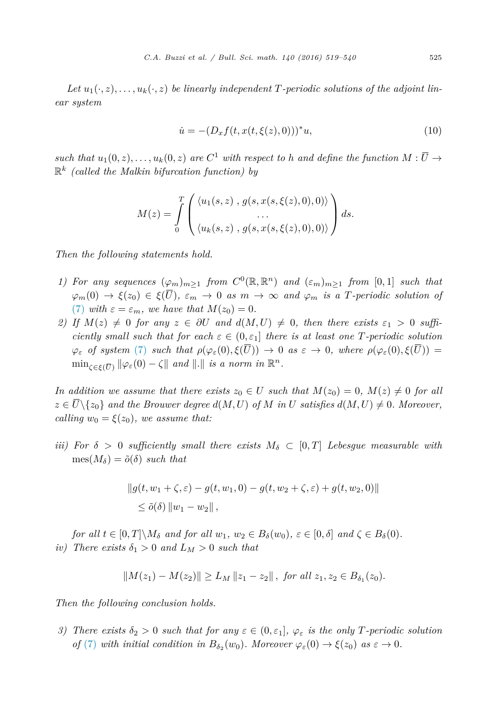Let  $u_1(\cdot, z), \ldots, u_k(\cdot, z)$  be linearly independent T-periodic solutions of the adjoint lin*ear system*

$$
\dot{u} = -(D_x f(t, x(t, \xi(z), 0)))^* u,
$$
\n(10)

such that  $u_1(0, z), \ldots, u_k(0, z)$  are  $C^1$  with respect to h and define the function  $M : \overline{U} \to$ R*<sup>k</sup> (called the Malkin bifurcation function) by*

$$
M(z) = \int\limits_0^T \left( \frac{\langle u_1(s,z) , g(s,x(s,\xi(z),0),0) \rangle}{\langle u_k(s,z) , g(s,x(s,\xi(z),0),0) \rangle} \right) ds.
$$

*Then the following statements hold.*

- *1) For any sequences*  $(\varphi_m)_{m>1}$  *from*  $C^0(\mathbb{R}, \mathbb{R}^n)$  *and*  $(\varepsilon_m)_{m>1}$  *from* [0,1] *such that*  $\varphi_m(0) \to \xi(z_0) \in \xi(\overline{U})$ ,  $\varepsilon_m \to 0$  *as*  $m \to \infty$  *and*  $\varphi_m$  *is a T-periodic solution of* [\(7\)](#page-5-0) *with*  $\varepsilon = \varepsilon_m$ *, we have that*  $M(z_0) = 0$ *.*
- *2)* If  $M(z) \neq 0$  for any  $z \in \partial U$  and  $d(M, U) \neq 0$ , then there exists  $\varepsilon_1 > 0$  suffi*ciently small such that for*  $\operatorname{each} \varepsilon \in (0, \varepsilon_1]$  *there is at least one T-periodic solution*  $\varphi_{\varepsilon}$  of system [\(7\)](#page-5-0) such that  $\rho(\varphi_{\varepsilon}(0), \xi(\overline{U})) \to 0$  as  $\varepsilon \to 0$ , where  $\rho(\varphi_{\varepsilon}(0), \xi(\overline{U})) =$  $\min_{\zeta \in \mathcal{E}(\overline{\Pi})} \|\varphi_{\varepsilon}(0) - \zeta\|$  *and*  $\|.\|$  *is a norm in*  $\mathbb{R}^n$ *.*

*In addition we* assume that there exists  $z_0 \in U$  such that  $M(z_0) = 0$ ,  $M(z) \neq 0$  for all  $z \in \overline{U} \setminus \{z_0\}$  and the Brouwer degree  $d(M, U)$  of M in U satisfies  $d(M, U) \neq 0$ . Moreover, *calling*  $w_0 = \xi(z_0)$ *, we assume that:* 

*iii)* For  $\delta > 0$  *sufficiently small* there *exists*  $M_{\delta} \subset [0, T]$  *Lebesgue measurable with*  $mes(M_{\delta}) = \tilde{o}(\delta)$  *such that* 

$$
||g(t, w_1 + \zeta, \varepsilon) - g(t, w_1, 0) - g(t, w_2 + \zeta, \varepsilon) + g(t, w_2, 0)||
$$
  
\$\le \tilde{o}(\delta) ||w\_1 - w\_2||\$,

for all  $t \in [0, T] \backslash M_{\delta}$  and for all  $w_1, w_2 \in B_{\delta}(w_0), \varepsilon \in [0, \delta]$  and  $\zeta \in B_{\delta}(0)$ . *iv*) There exists  $\delta_1 > 0$  and  $L_M > 0$  such that

$$
||M(z_1) - M(z_2)|| \ge L_M ||z_1 - z_2||, \text{ for all } z_1, z_2 \in B_{\delta_1}(z_0).
$$

*Then the following conclusion holds.*

3) There exists  $\delta_2 > 0$  such that for any  $\varepsilon \in (0, \varepsilon_1], \varphi_{\varepsilon}$  is the only T-periodic solution *of* [\(7\)](#page-5-0) *with initial condition in*  $B_{\delta_2}(w_0)$ *. Moreover*  $\varphi_{\varepsilon}(0) \to \xi(z_0)$  *as*  $\varepsilon \to 0$ *.*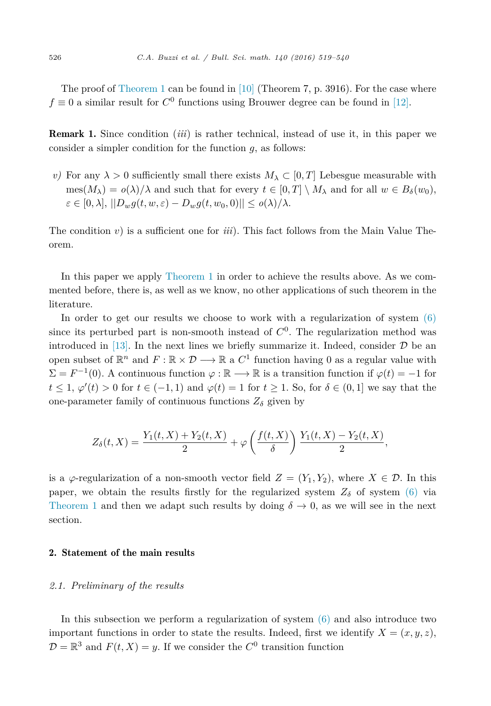<span id="page-7-0"></span>The proof of [Theorem 1](#page-5-0) can be found in  $[10]$  (Theorem 7, p. 3916). For the case where  $f \equiv 0$  a similar result for  $C^0$  functions using Brouwer degree can be found in [\[12\].](#page-21-0)

Remark 1. Since condition (*iii*) is rather technical, instead of use it, in this paper we consider a simpler condition for the function *g*, as follows:

*v)* For any  $\lambda > 0$  sufficiently small there exists  $M_{\lambda} \subset [0, T]$  Lebesgue measurable with  $\text{mes}(M_{\lambda}) = o(\lambda)/\lambda$  and such that for every  $t \in [0, T] \setminus M_{\lambda}$  and for all  $w \in B_{\delta}(w_0)$ ,  $\varepsilon \in [0, \lambda], ||D_w g(t, w, \varepsilon) - D_w g(t, w_0, 0)|| \le o(\lambda)/\lambda.$ 

The condition  $v$ ) is a sufficient one for  $iii$ . This fact follows from the Main Value Theorem.

In this paper we apply [Theorem 1](#page-5-0) in order to achieve the results above. As we commented before, there is, as well as we know, no other applications of such theorem in the literature.

In order to get our results we choose to work with a regularization of system  $(6)$ since its perturbed part is non-smooth instead of  $C<sup>0</sup>$ . The regularization method was introduced in [\[13\].](#page-21-0) In the next lines we briefly summarize it. Indeed, consider  $\mathcal D$  be an open subset of  $\mathbb{R}^n$  and  $F : \mathbb{R} \times \mathcal{D} \longrightarrow \mathbb{R}$  a  $C^1$  function having 0 as a regular value with  $\Sigma = F^{-1}(0)$ . A continuous function  $\varphi : \mathbb{R} \longrightarrow \mathbb{R}$  is a transition function if  $\varphi(t) = -1$  for  $t \leq 1$ ,  $\varphi'(t) > 0$  for  $t \in (-1,1)$  and  $\varphi(t) = 1$  for  $t \geq 1$ . So, for  $\delta \in (0,1]$  we say that the one-parameter family of continuous functions  $Z_{\delta}$  given by

$$
Z_{\delta}(t,X) = \frac{Y_1(t,X) + Y_2(t,X)}{2} + \varphi\left(\frac{f(t,X)}{\delta}\right) \frac{Y_1(t,X) - Y_2(t,X)}{2},
$$

is a  $\varphi$ -regularization of a non-smooth vector field  $Z = (Y_1, Y_2)$ , where  $X \in \mathcal{D}$ . In this paper, we obtain the results firstly for the regularized system  $Z_{\delta}$  of system [\(6\)](#page-5-0) via [Theorem 1](#page-5-0) and then we adapt such results by doing  $\delta \to 0$ , as we will see in the next section.

# 2. Statement of the main results

#### *2.1. Preliminary of the results*

In this subsection we perform a regularization of system [\(6\)](#page-5-0) and also introduce two important functions in order to state the results. Indeed, first we identify  $X = (x, y, z)$ ,  $\mathcal{D} = \mathbb{R}^3$  and  $F(t, X) = y$ . If we consider the  $C^0$  transition function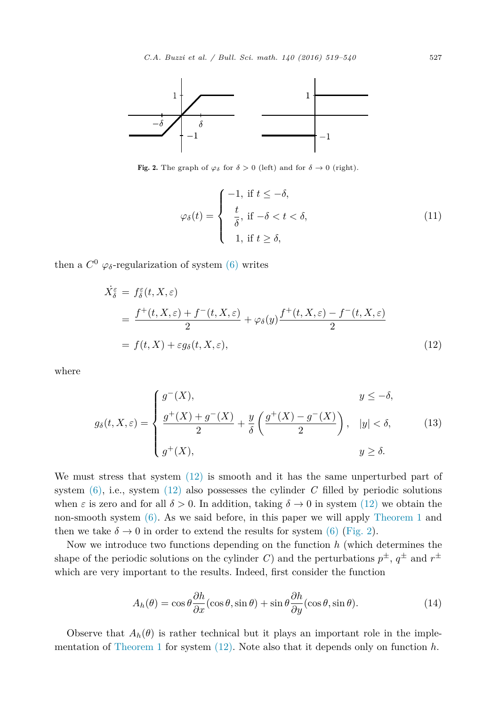<span id="page-8-0"></span>

Fig. 2. The graph of  $\varphi_{\delta}$  for  $\delta > 0$  (left) and for  $\delta \to 0$  (right).

$$
\varphi_{\delta}(t) = \begin{cases}\n-1, & \text{if } t \leq -\delta, \\
\frac{t}{\delta}, & \text{if } -\delta < t < \delta, \\
1, & \text{if } t \geq \delta,\n\end{cases}
$$
\n(11)

then a  $C^0$   $\varphi_{\delta}$ -regularization of system [\(6\)](#page-5-0) writes

$$
\dot{X}_{\delta}^{\varepsilon} = f_{\delta}^{\varepsilon}(t, X, \varepsilon)
$$
\n
$$
= \frac{f^{+}(t, X, \varepsilon) + f^{-}(t, X, \varepsilon)}{2} + \varphi_{\delta}(y) \frac{f^{+}(t, X, \varepsilon) - f^{-}(t, X, \varepsilon)}{2}
$$
\n
$$
= f(t, X) + \varepsilon g_{\delta}(t, X, \varepsilon), \tag{12}
$$

where

$$
g_{\delta}(t, X, \varepsilon) = \begin{cases} g^-(X), & y \leq -\delta, \\ \frac{g^+(X) + g^-(X)}{2} + \frac{y}{\delta} \left( \frac{g^+(X) - g^-(X)}{2} \right), & |y| < \delta, \\ g^+(X), & y \geq \delta. \end{cases} \tag{13}
$$

We must stress that system  $(12)$  is smooth and it has the same unperturbed part of system  $(6)$ , i.e., system  $(12)$  also possesses the cylinder *C* filled by periodic solutions when  $\varepsilon$  is zero and for all  $\delta > 0$ . In addition, taking  $\delta \to 0$  in system (12) we obtain the non-smooth system [\(6\).](#page-5-0) As we said before, in this paper we will apply [Theorem 1](#page-5-0) and then we take  $\delta \to 0$  in order to extend the results for system [\(6\)](#page-5-0) (Fig. 2).

Now we introduce two functions depending on the function *h* (which determines the shape of the periodic solutions on the cylinder *C*) and the perturbations  $p^{\pm}$ ,  $q^{\pm}$  and  $r^{\pm}$ which are very important to the results. Indeed, first consider the function

$$
A_h(\theta) = \cos \theta \frac{\partial h}{\partial x} (\cos \theta, \sin \theta) + \sin \theta \frac{\partial h}{\partial y} (\cos \theta, \sin \theta). \tag{14}
$$

Observe that  $A_h(\theta)$  is rather technical but it plays an important role in the implementation of [Theorem 1](#page-5-0) for system (12). Note also that it depends only on function *h*.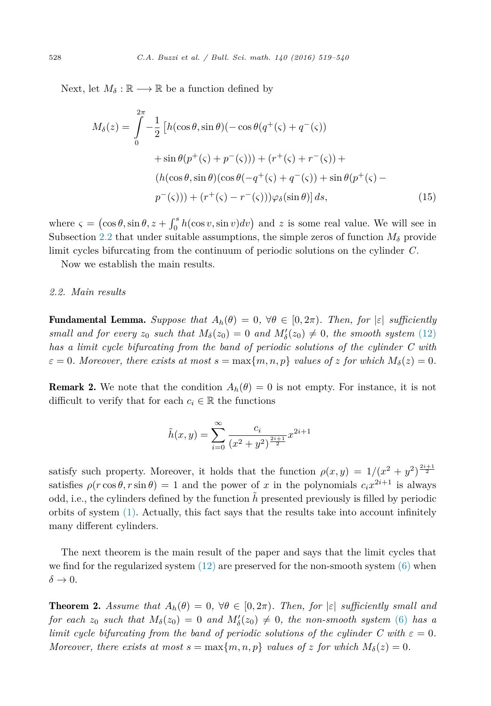<span id="page-9-0"></span>Next, let  $M_{\delta} : \mathbb{R} \longrightarrow \mathbb{R}$  be a function defined by

$$
M_{\delta}(z) = \int_{0}^{2\pi} -\frac{1}{2} \left[ h(\cos\theta, \sin\theta)(-\cos\theta(q^{+}(\varsigma) + q^{-}(\varsigma)) + \sin\theta(p^{+}(\varsigma) + p^{-}(\varsigma))) + (r^{+}(\varsigma) + r^{-}(\varsigma)) + (h(\cos\theta, \sin\theta)(\cos\theta(-q^{+}(\varsigma) + q^{-}(\varsigma)) + \sin\theta(p^{+}(\varsigma) - p^{-}(\varsigma))) + (r^{+}(\varsigma) - r^{-}(\varsigma)))\varphi_{\delta}(\sin\theta) \right] ds,
$$
\n(15)

where  $\varsigma = (\cos \theta, \sin \theta, z + \int_0^s h(\cos v, \sin v) dv)$  and *z* is some real value. We will see in Subsection 2.2 that under suitable assumptions, the simple zeros of function  $M_{\delta}$  provide limit cycles bifurcating from the continuum of periodic solutions on the cylinder *C*.

Now we establish the main results.

## *2.2. Main results*

**Fundamental Lemma.** Suppose that  $A_h(\theta) = 0$ ,  $\forall \theta \in [0, 2\pi)$ . Then, for  $|\varepsilon|$  sufficiently *small* and for *every*  $z_0$  *such* that  $M_\delta(z_0) = 0$  and  $M'_\delta(z_0) \neq 0$ , the *smooth system* [\(12\)](#page-8-0) *has a limit cycle bifurcating from the band of periodic solutions of the cylinder C with*  $\varepsilon = 0$ . Moreover, there exists at most  $s = \max\{m, n, p\}$  values of z for which  $M_{\delta}(z) = 0$ .

**Remark 2.** We note that the condition  $A_h(\theta) = 0$  is not empty. For instance, it is not difficult to verify that for each  $c_i \in \mathbb{R}$  the functions

$$
\tilde{h}(x,y) = \sum_{i=0}^{\infty} \frac{c_i}{(x^2 + y^2)^{\frac{2i+1}{2}}} x^{2i+1}
$$

satisfy such property. Moreover, it holds that the function  $\rho(x,y) = 1/(x^2 + y^2)^{\frac{2i+1}{2}}$ satisfies  $\rho(r\cos\theta, r\sin\theta) = 1$  and the power of *x* in the polynomials  $c_i x^{2i+1}$  is always odd, i.e., the cylinders defined by the function  $\hat{h}$  presented previously is filled by periodic orbits of system  $(1)$ . Actually, this fact says that the results take into account infinitely many different cylinders.

The next theorem is the main result of the paper and says that the limit cycles that we find for the regularized system  $(12)$  are preserved for the non-smooth system  $(6)$  when  $\delta \rightarrow 0$ .

**Theorem 2.** Assume that  $A_h(\theta) = 0$ ,  $\forall \theta \in [0, 2\pi)$ . Then, for  $|\varepsilon|$  sufficiently small and *for each*  $z_0$  *such that*  $M_\delta(z_0) = 0$  *and*  $M'_\delta(z_0) \neq 0$ , *the non-smooth system* [\(6\)](#page-5-0) *has a limit cycle bifurcating from the band of periodic solutions of the cylinder C with*  $\varepsilon = 0$ *. Moreover, there exists at most*  $s = \max\{m, n, p\}$  *values of z for which*  $M_{\delta}(z) = 0$ *.*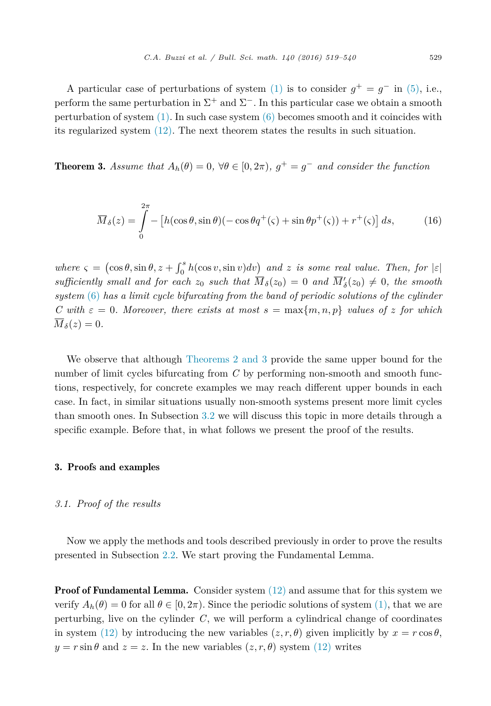<span id="page-10-0"></span>A particular case of perturbations of system [\(1\)](#page-1-0) is to consider  $g^+ = g^-$  in [\(5\),](#page-4-0) i.e., perform the same perturbation in  $\Sigma^+$  and  $\Sigma^-$ . In this particular case we obtain a smooth perturbation of system [\(1\).](#page-1-0) In such case system [\(6\)](#page-5-0) becomes smooth and it coincides with its regularized system [\(12\).](#page-8-0) The next theorem states the results in such situation.

**Theorem 3.** Assume that  $A_h(\theta) = 0$ ,  $\forall \theta \in [0, 2\pi)$ ,  $g^+ = g^-$  and consider the function

$$
\overline{M}_{\delta}(z) = \int_{0}^{2\pi} - \left[ h(\cos\theta, \sin\theta)(-\cos\theta q^+(\varsigma) + \sin\theta p^+(\varsigma)) + r^+(\varsigma) \right] ds,\tag{16}
$$

 $where \zeta = (\cos \theta, \sin \theta, z + \int_0^s h(\cos v, \sin v) dv)$  and *z is some real value. Then, for*  $|\varepsilon|$  $sufficiently small and for each  $z_0$  such that  $M_\delta(z_0) = 0$  and  $M'_\delta(z_0) \neq 0$ , the smooth$ *system* [\(6\)](#page-5-0) *has a limit cycle bifurcating from the band of periodic solutions of the cylinder C* with  $\varepsilon = 0$ . Moreover, there exists at most  $s = \max\{m, n, p\}$  values of *z* for which  $\overline{M}_{\delta}(z) = 0.$ 

We observe that although [Theorems 2 and](#page-9-0) 3 provide the same upper bound for the number of limit cycles bifurcating from *C* by performing non-smooth and smooth functions, respectively, for concrete examples we may reach different upper bounds in each case. In fact, in similar situations usually non-smooth systems present more limit cycles than smooth ones. In Subsection [3.2](#page-17-0) we will discuss this topic in more details through a specific example. Before that, in what follows we present the proof of the results.

#### 3. Proofs and examples

#### *3.1. Proof of the results*

Now we apply the methods and tools described previously in order to prove the results presented in Subsection [2.2.](#page-9-0) We start proving the Fundamental Lemma.

**Proof of Fundamental Lemma.** Consider system  $(12)$  and assume that for this system we verify  $A_h(\theta) = 0$  for all  $\theta \in [0, 2\pi)$ . Since the periodic solutions of system [\(1\),](#page-1-0) that we are perturbing, live on the cylinder *C*, we will perform a cylindrical change of coordinates in system [\(12\)](#page-8-0) by introducing the new variables  $(z, r, \theta)$  given implicitly by  $x = r \cos \theta$ ,  $y = r \sin \theta$  and  $z = z$ . In the new variables  $(z, r, \theta)$  system [\(12\)](#page-8-0) writes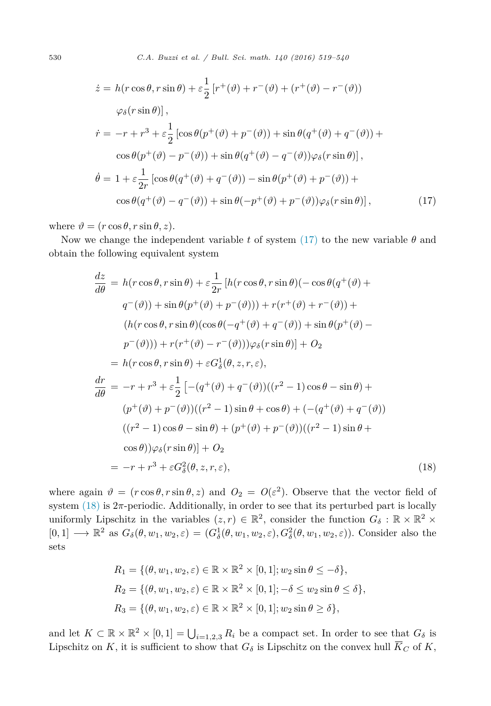<span id="page-11-0"></span>530 *C.A. Buzzi et al. / Bul l. Sci. math. 140 (2016) 519–540*

$$
\dot{z} = h(r\cos\theta, r\sin\theta) + \varepsilon \frac{1}{2} \left[ r^+(\vartheta) + r^-(\vartheta) + (r^+(\vartheta) - r^-(\vartheta)) \right]
$$

$$
\varphi_\delta(r\sin\theta) \Big],
$$

$$
\dot{r} = -r + r^3 + \varepsilon \frac{1}{2} \left[ \cos\theta(p^+(\vartheta) + p^-(\vartheta)) + \sin\theta(q^+(\vartheta) + q^-(\vartheta)) + \cos\theta(p^+(\vartheta) - p^-(\vartheta)) + \sin\theta(q^+(\vartheta) - q^-(\vartheta))\varphi_\delta(r\sin\theta) \right],
$$

$$
\dot{\theta} = 1 + \varepsilon \frac{1}{2r} \left[ \cos\theta(q^+(\vartheta) + q^-(\vartheta)) - \sin\theta(p^+(\vartheta) + p^-(\vartheta)) + \cos\theta(q^+(\vartheta) - q^-(\vartheta)) + \sin\theta(-p^+(\vartheta) + p^-(\vartheta))\varphi_\delta(r\sin\theta) \right],
$$
(17)

where  $\vartheta = (r \cos \theta, r \sin \theta, z)$ .

Now we change the independent variable *t* of system (17) to the new variable  $\theta$  and obtain the following equivalent system

$$
\frac{dz}{d\theta} = h(r\cos\theta, r\sin\theta) + \varepsilon \frac{1}{2r} [h(r\cos\theta, r\sin\theta)(-\cos\theta(q^+(\theta)) + q^-(\theta)) + \sin\theta(p^+(\theta) + p^-(\theta))] + r(r^+(\theta) + r^-(\theta)) +
$$
  
\n
$$
(h(r\cos\theta, r\sin\theta)(\cos\theta(-q^+(\theta) + q^-(\theta)) + \sin\theta(p^+(\theta) - p^-(\theta))) + r(r^+(\theta) - r^-(\theta))\varphi_\delta(r\sin\theta)] + O_2
$$
  
\n
$$
= h(r\cos\theta, r\sin\theta) + \varepsilon G_\delta^1(\theta, z, r, \varepsilon),
$$
  
\n
$$
\frac{dr}{d\theta} = -r + r^3 + \varepsilon \frac{1}{2} [-(q^+(\theta) + q^-(\theta))((r^2 - 1)\cos\theta - \sin\theta) + (p^+(\theta) + p^-(\theta))((r^2 - 1)\sin\theta + \cos\theta) + (-q^+(\theta) + q^-(\theta))
$$
  
\n
$$
((r^2 - 1)\cos\theta - \sin\theta) + (p^+(\theta) + p^-(\theta))((r^2 - 1)\sin\theta + \cos\theta)\varphi_\delta(r\sin\theta)] + O_2
$$
  
\n
$$
= -r + r^3 + \varepsilon G_\delta^2(\theta, z, r, \varepsilon),
$$
\n(18)

where again  $\vartheta = (r \cos \theta, r \sin \theta, z)$  and  $O_2 = O(\varepsilon^2)$ . Observe that the vector field of system  $(18)$  is  $2\pi$ -periodic. Additionally, in order to see that its perturbed part is locally uniformly Lipschitz in the variables  $(z, r) \in \mathbb{R}^2$ , consider the function  $G_{\delta}: \mathbb{R} \times \mathbb{R}^2 \times$  $[0,1] \longrightarrow \mathbb{R}^2$  as  $G_{\delta}(\theta, w_1, w_2, \varepsilon) = (G_{\delta}^1(\theta, w_1, w_2, \varepsilon), G_{\delta}^2(\theta, w_1, w_2, \varepsilon))$ . Consider also the sets

$$
R_1 = \{ (\theta, w_1, w_2, \varepsilon) \in \mathbb{R} \times \mathbb{R}^2 \times [0, 1]; w_2 \sin \theta \le -\delta \},
$$
  
\n
$$
R_2 = \{ (\theta, w_1, w_2, \varepsilon) \in \mathbb{R} \times \mathbb{R}^2 \times [0, 1]; -\delta \le w_2 \sin \theta \le \delta \},
$$
  
\n
$$
R_3 = \{ (\theta, w_1, w_2, \varepsilon) \in \mathbb{R} \times \mathbb{R}^2 \times [0, 1]; w_2 \sin \theta \ge \delta \},
$$

and let  $K \subset \mathbb{R} \times \mathbb{R}^2 \times [0,1] = \bigcup_{i=1,2,3} R_i$  be a compact set. In order to see that  $G_{\delta}$  is Lipschitz on *K*, it is sufficient to show that  $G_{\delta}$  is Lipschitz on the convex hull  $\overline{K}_C$  of *K*,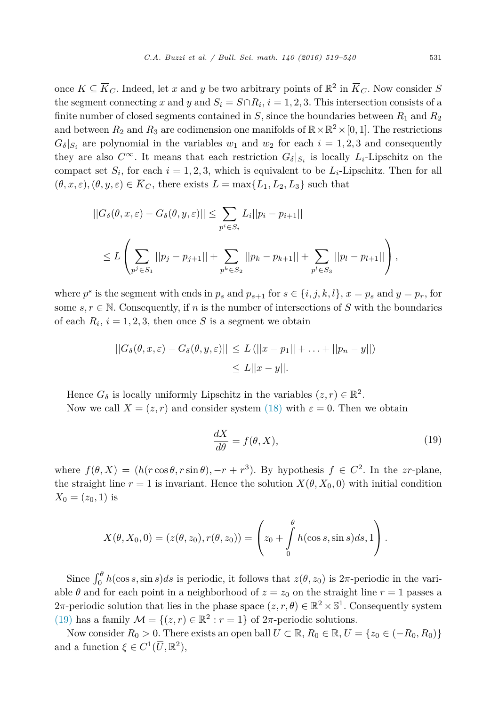<span id="page-12-0"></span>once  $K \subseteq \overline{K}_C$ . Indeed, let *x* and *y* be two arbitrary points of  $\mathbb{R}^2$  in  $\overline{K}_C$ . Now consider *S* the segment connecting *x* and *y* and  $S_i = S \cap R_i$ ,  $i = 1, 2, 3$ . This intersection consists of a finite number of closed segments contained in  $S$ , since the boundaries between  $R_1$  and  $R_2$ and between  $R_2$  and  $R_3$  are codimension one manifolds of  $\mathbb{R} \times \mathbb{R}^2 \times [0,1]$ . The restrictions  $G_{\delta}|_{S_i}$  are polynomial in the variables  $w_1$  and  $w_2$  for each  $i = 1, 2, 3$  and consequently they are also  $C^{\infty}$ . It means that each restriction  $G_{\delta}|_{S_i}$  is locally  $L_i$ -Lipschitz on the compact set  $S_i$ , for each  $i = 1, 2, 3$ , which is equivalent to be  $L_i$ -Lipschitz. Then for all  $(\theta, x, \varepsilon), (\theta, y, \varepsilon) \in \overline{K}_C$ , there exists  $L = \max\{L_1, L_2, L_3\}$  such that

$$
||G_{\delta}(\theta, x, \varepsilon) - G_{\delta}(\theta, y, \varepsilon)|| \leq \sum_{p^i \in S_i} L_i ||p_i - p_{i+1}||
$$
  

$$
\leq L \left( \sum_{p^j \in S_1} ||p_j - p_{j+1}|| + \sum_{p^k \in S_2} ||p_k - p_{k+1}|| + \sum_{p^l \in S_3} ||p_l - p_{l+1}|| \right),
$$

where  $p^s$  is the segment with ends in  $p_s$  and  $p_{s+1}$  for  $s \in \{i, j, k, l\}, x = p_s$  and  $y = p_r$ , for some  $s, r \in \mathbb{N}$ . Consequently, if *n* is the number of intersections of *S* with the boundaries of each  $R_i$ ,  $i = 1, 2, 3$ , then once *S* is a segment we obtain

$$
||G_{\delta}(\theta, x, \varepsilon) - G_{\delta}(\theta, y, \varepsilon)|| \le L(||x - p_1|| + \dots + ||p_n - y||)
$$
  

$$
\le L||x - y||.
$$

Hence  $G_{\delta}$  is locally uniformly Lipschitz in the variables  $(z, r) \in \mathbb{R}^2$ . Now we call  $X = (z, r)$  and consider system [\(18\)](#page-11-0) with  $\varepsilon = 0$ . Then we obtain

$$
\frac{dX}{d\theta} = f(\theta, X),\tag{19}
$$

where  $f(\theta, X) = (h(r \cos \theta, r \sin \theta), -r + r^3)$ . By hypothesis  $f \in C^2$ . In the *zr*-plane, the straight line  $r = 1$  is invariant. Hence the solution  $X(\theta, X_0, 0)$  with initial condition  $X_0 = (z_0, 1)$  is

$$
X(\theta, X_0, 0) = (z(\theta, z_0), r(\theta, z_0)) = \left(z_0 + \int\limits_0^{\theta} h(\cos s, \sin s) ds, 1\right).
$$

Since  $\int_0^\theta h(\cos s, \sin s)ds$  is periodic, it follows that  $z(\theta, z_0)$  is  $2\pi$ -periodic in the variable  $\theta$  and for each point in a neighborhood of  $z = z_0$  on the straight line  $r = 1$  passes a 2 $\pi$ -periodic solution that lies in the phase space  $(z, r, \theta) \in \mathbb{R}^2 \times \mathbb{S}^1$ . Consequently system (19) has a family  $\mathcal{M} = \{(z, r) \in \mathbb{R}^2 : r = 1\}$  of  $2\pi$ -periodic solutions.

Now consider  $R_0 > 0$ . There exists an open ball  $U \subset \mathbb{R}$ ,  $R_0 \in \mathbb{R}$ ,  $U = \{z_0 \in (-R_0, R_0)\}\$ and a function  $\xi \in C^1(\overline{U}, \mathbb{R}^2)$ ,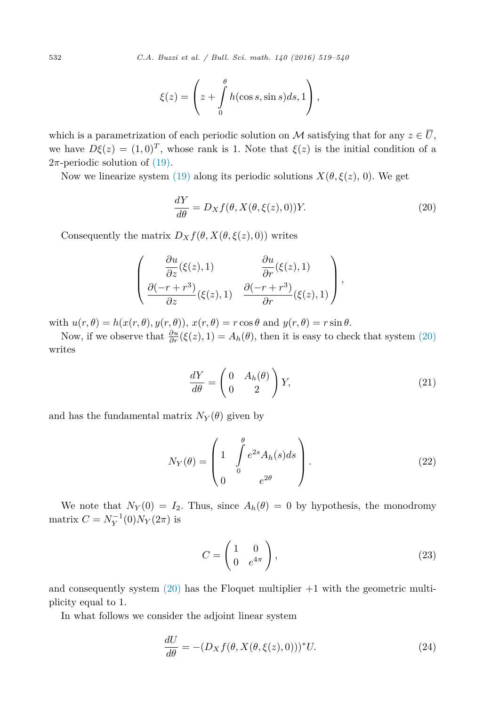<span id="page-13-0"></span>532 *C.A. Buzzi et al. / Bul l. Sci. math. 140 (2016) 519–540*

$$
\xi(z) = \left(z + \int\limits_0^{\theta} h(\cos s, \sin s) ds, 1\right),
$$

which is a parametrization of each periodic solution on M satisfying that for any  $z \in \overline{U}$ , we have  $D\xi(z) = (1,0)^T$ , whose rank is 1. Note that  $\xi(z)$  is the initial condition of a  $2\pi$ -periodic solution of [\(19\).](#page-12-0)

Now we linearize system [\(19\)](#page-12-0) along its periodic solutions  $X(\theta, \xi(z), 0)$ . We get

$$
\frac{dY}{d\theta} = D_X f(\theta, X(\theta, \xi(z), 0))Y.
$$
\n(20)

Consequently the matrix  $D_X f(\theta, X(\theta, \xi(z), 0))$  writes

$$
\left(\begin{array}{cc}\n\frac{\partial u}{\partial z}(\xi(z),1) & \frac{\partial u}{\partial r}(\xi(z),1) \\
\frac{\partial (-r+r^3)}{\partial z}(\xi(z),1) & \frac{\partial (-r+r^3)}{\partial r}(\xi(z),1)\n\end{array}\right),
$$

with  $u(r, \theta) = h(x(r, \theta), y(r, \theta))$ ,  $x(r, \theta) = r \cos \theta$  and  $y(r, \theta) = r \sin \theta$ .

Now, if we observe that  $\frac{\partial u}{\partial r}(\xi(z), 1) = A_h(\theta)$ , then it is easy to check that system (20) writes

$$
\frac{dY}{d\theta} = \begin{pmatrix} 0 & A_h(\theta) \\ 0 & 2 \end{pmatrix} Y,
$$
\n(21)

and has the fundamental matrix  $N_Y(\theta)$  given by

$$
N_Y(\theta) = \begin{pmatrix} 1 & \int_0^\theta e^{2s} A_h(s) ds \\ 0 & e^{2\theta} \end{pmatrix} . \tag{22}
$$

We note that  $N_Y(0) = I_2$ . Thus, since  $A_h(\theta) = 0$  by hypothesis, the monodromy  $matrix C = N_Y^{-1}(0)N_Y(2\pi)$  is

$$
C = \begin{pmatrix} 1 & 0 \\ 0 & e^{4\pi} \end{pmatrix},\tag{23}
$$

and consequently system  $(20)$  has the Floquet multiplier  $+1$  with the geometric multiplicity equal to 1.

In what follows we consider the adjoint linear system

$$
\frac{dU}{d\theta} = -(D_X f(\theta, X(\theta, \xi(z), 0)))^* U.
$$
\n(24)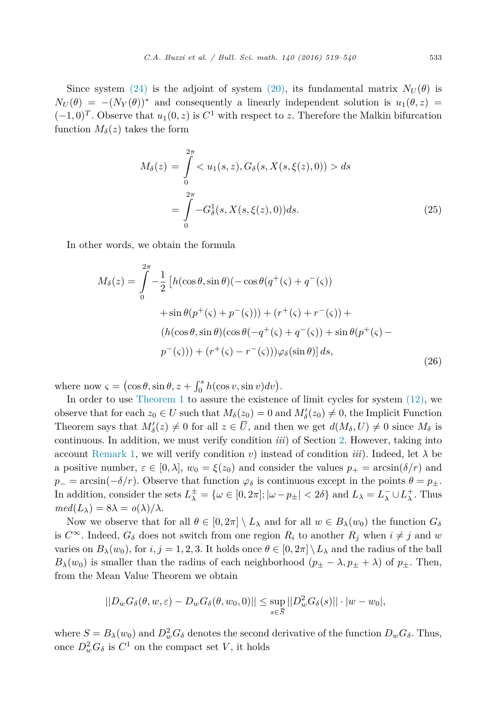Since system [\(24\)](#page-13-0) is the adjoint of system [\(20\),](#page-13-0) its fundamental matrix  $N_U(\theta)$  is  $N_U(\theta) = -(N_Y(\theta))^*$  and consequently a linearly independent solution is  $u_1(\theta, z)$  $(-1,0)^T$ . Observe that  $u_1(0, z)$  is  $C^1$  with respect to *z*. Therefore the Malkin bifurcation function  $M_\delta(z)$  takes the form

$$
M_{\delta}(z) = \int_{0}^{2\pi} \langle u_1(s, z), G_{\delta}(s, X(s, \xi(z), 0)) \rangle ds
$$
  
= 
$$
\int_{0}^{2\pi} -G_{\delta}^{1}(s, X(s, \xi(z), 0)) ds.
$$
 (25)

In other words, we obtain the formula

$$
M_{\delta}(z) = \int_{0}^{2\pi} -\frac{1}{2} \left[ h(\cos\theta, \sin\theta)(-\cos\theta(q^{+}(\varsigma) + q^{-}(\varsigma)) + \sin\theta(p^{+}(\varsigma) + p^{-}(\varsigma))) + (r^{+}(\varsigma) + r^{-}(\varsigma)) + (h(\cos\theta, \sin\theta)(\cos\theta(-q^{+}(\varsigma) + q^{-}(\varsigma)) + \sin\theta(p^{+}(\varsigma) - p^{-}(\varsigma))) + (r^{+}(\varsigma) - r^{-}(\varsigma)))\varphi_{\delta}(\sin\theta) \right] ds,
$$
\n(26)

where now  $\varsigma = (\cos \theta, \sin \theta, z + \int_0^s h(\cos v, \sin v) dv).$ 

In order to use [Theorem 1](#page-5-0) to assure the existence of limit cycles for system [\(12\),](#page-8-0) we observe that for each  $z_0 \in U$  such that  $M_\delta(\underline{z_0}) = 0$  and  $M'_\delta(z_0) \neq 0$ , the Implicit Function Theorem says that  $M'_{\delta}(z) \neq 0$  for all  $z \in U$ , and then we get  $d(M_{\delta}, U) \neq 0$  since  $M_{\delta}$  is continuous. In addition, we must verify condition *iii*) of Section [2.](#page-7-0) However, taking into account [Remark 1,](#page-7-0) we will verify condition *v*) instead of condition *iii*). Indeed, let  $\lambda$  be a positive number,  $\varepsilon \in [0, \lambda]$ ,  $w_0 = \xi(z_0)$  and consider the values  $p_+ = \arcsin(\delta/r)$  and  $p_$  = arcsin( $-\delta/r$ ). Observe that function  $\varphi_{\delta}$  is continuous except in the points  $\theta = p_{\pm}$ . In addition, consider the sets  $L^{\pm}_{\lambda} = \{ \omega \in [0, 2\pi] ; |\omega - p_{\pm}| < 2\delta \}$  and  $L_{\lambda} = L_{\lambda}^- \cup L_{\lambda}^+$ . Thus  $med(L_{\lambda}) = 8\lambda = o(\lambda)/\lambda$ .

Now we observe that for all  $\theta \in [0, 2\pi] \setminus L_\lambda$  and for all  $w \in B_\lambda(w_0)$  the function  $G_\delta$ is  $C^{\infty}$ . Indeed,  $G_{\delta}$  does not switch from one region  $R_i$  to another  $R_j$  when  $i \neq j$  and w varies on  $B_\lambda(w_0)$ , for  $i, j = 1, 2, 3$ . It holds once  $\theta \in [0, 2\pi] \setminus L_\lambda$  and the radius of the ball  $B_\lambda(w_0)$  is smaller than the radius of each neighborhood  $(p_\pm - \lambda, p_\pm + \lambda)$  of  $p_\pm$ . Then, from the Mean Value Theorem we obtain

$$
||D_wG_\delta(\theta, w, \varepsilon) - D_wG_\delta(\theta, w_0, 0)|| \le \sup_{s \in \overline{S}} ||D_w^2G_\delta(s)|| \cdot |w - w_0|,
$$

where  $S = B_{\lambda}(w_0)$  and  $D_w^2 G_{\delta}$  denotes the second derivative of the function  $D_w G_{\delta}$ . Thus, once  $D_w^2 G_\delta$  is  $C^1$  on the compact set *V*, it holds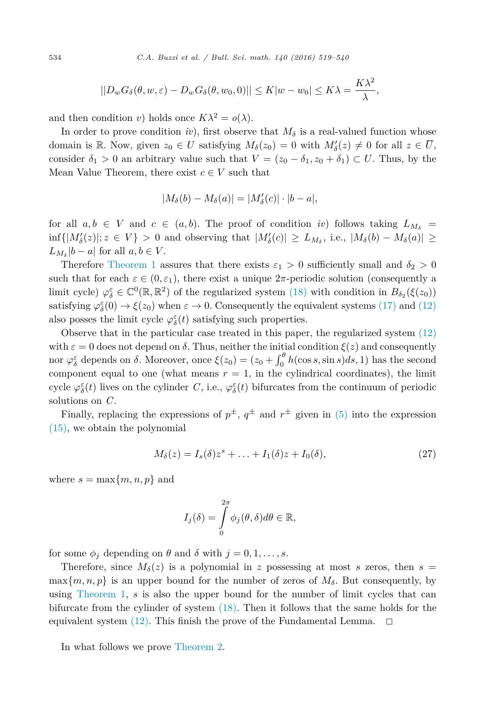$$
||D_wG_{\delta}(\theta, w, \varepsilon) - D_wG_{\delta}(\theta, w_0, 0)|| \le K|w - w_0| \le K\lambda = \frac{K\lambda^2}{\lambda},
$$

and then condition *v*) holds once  $K\lambda^2 = o(\lambda)$ .

In order to prove condition *iv*), first observe that  $M_{\delta}$  is a real-valued function whose domain is R. Now, given  $z_0 \in U$  satisfying  $M_\delta(z_0) = 0$  with  $M'_\delta(z) \neq 0$  for all  $z \in \overline{U}$ , consider  $\delta_1 > 0$  an arbitrary value such that  $V = (z_0 - \delta_1, z_0 + \delta_1) \subset U$ . Thus, by the Mean Value Theorem, there exist  $c \in V$  such that

$$
|M_{\delta}(b) - M_{\delta}(a)| = |M'_{\delta}(c)| \cdot |b - a|,
$$

for all  $a, b \in V$  and  $c \in (a, b)$ . The proof of condition *iv*) follows taking  $L_{M_{\delta}} =$  $\inf\{|M'_{\delta}(z)|; z \in V\}$  > 0 and observing that  $|M'_{\delta}(c)| \ge L_{M_{\delta}}$ , i.e.,  $|M_{\delta}(b) - M_{\delta}(a)| \ge$  $L_{M_{\delta}}|b-a|$  for all  $a, b \in V$ .

Therefore [Theorem 1](#page-5-0) assures that there exists  $\varepsilon_1 > 0$  sufficiently small and  $\delta_2 > 0$ such that for each  $\varepsilon \in (0, \varepsilon_1)$ , there exist a unique  $2\pi$ -periodic solution (consequently a limit cycle)  $\varphi_{\delta}^{\varepsilon} \in \mathbb{C}^{0}(\mathbb{R}, \mathbb{R}^{2})$  of the regularized system [\(18\)](#page-11-0) with condition in  $B_{\delta_{2}}(\xi(z_{0}))$ satisfying  $\varphi_{\delta}^{\varepsilon}(0) \to \xi(z_0)$  when  $\varepsilon \to 0$ . Consequently the equivalent systems [\(17\)](#page-11-0) and [\(12\)](#page-8-0) also posses the limit cycle  $\varphi_{\delta}^{\varepsilon}(t)$  satisfying such properties.

Observe that in the particular case treated in this paper, the regularized system [\(12\)](#page-8-0) with  $\varepsilon = 0$  does not depend on  $\delta$ . Thus, neither the initial condition  $\xi(z)$  and consequently nor  $\varphi_{\delta}^{\varepsilon}$  depends on  $\delta$ . Moreover, once  $\xi(z_0) = (z_0 + \int_0^{\theta} h(\cos s, \sin s) ds, 1)$  has the second component equal to one (what means  $r = 1$ , in the cylindrical coordinates), the limit cycle  $\varphi_{\delta}^{\varepsilon}(t)$  lives on the cylinder *C*, i.e.,  $\varphi_{\delta}^{\varepsilon}(t)$  bifurcates from the continuum of periodic solutions on *C*.

Finally, replacing the expressions of  $p^{\pm}$ ,  $q^{\pm}$  and  $r^{\pm}$  given in [\(5\)](#page-4-0) into the expression [\(15\),](#page-9-0) we obtain the polynomial

$$
M_{\delta}(z) = I_s(\delta)z^s + \ldots + I_1(\delta)z + I_0(\delta), \qquad (27)
$$

where  $s = \max\{m, n, p\}$  and

$$
I_j(\delta) = \int\limits_0^{2\pi} \phi_j(\theta, \delta) d\theta \in \mathbb{R},
$$

for some  $\phi_j$  depending on  $\theta$  and  $\delta$  with  $j = 0, 1, \ldots, s$ .

Therefore, since  $M_{\delta}(z)$  is a polynomial in *z* possessing at most *s* zeros, then  $s =$  $\max\{m, n, p\}$  is an upper bound for the number of zeros of  $M_{\delta}$ . But consequently, by using [Theorem 1,](#page-5-0) *s* is also the upper bound for the number of limit cycles that can bifurcate from the cylinder of system [\(18\).](#page-11-0) Then it follows that the same holds for the equivalent system  $(12)$ . This finish the prove of the Fundamental Lemma.  $\Box$ 

In what follows we prove [Theorem 2.](#page-9-0)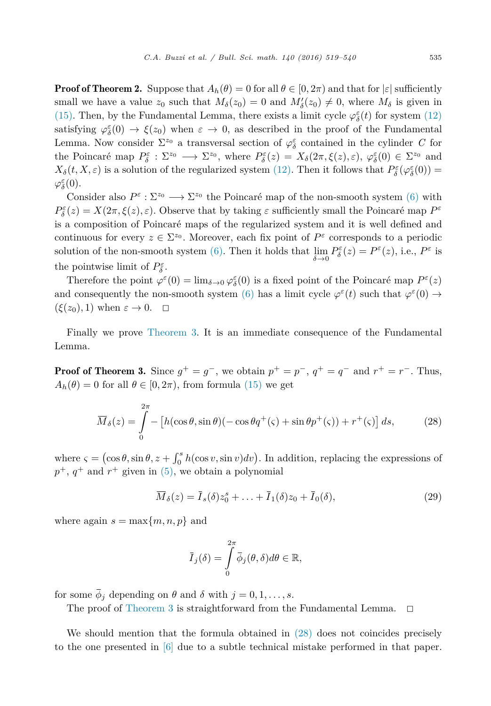<span id="page-16-0"></span>**Proof of Theorem 2.** Suppose that  $A_h(\theta) = 0$  for all  $\theta \in [0, 2\pi)$  and that for  $|\varepsilon|$  sufficiently small we have a value  $z_0$  such that  $M_\delta(z_0) = 0$  and  $M'_\delta(z_0) \neq 0$ , where  $M_\delta$  is given in [\(15\).](#page-9-0) Then, by the Fundamental Lemma, there exists a limit cycle  $\varphi^{\varepsilon}_{\delta}(t)$  for system [\(12\)](#page-8-0) satisfying  $\varphi_{\delta}^{\varepsilon}(0) \to \xi(z_0)$  when  $\varepsilon \to 0$ , as described in the proof of the Fundamental Lemma. Now consider  $\Sigma^{z_0}$  a transversal section of  $\varphi_{\delta}^{\varepsilon}$  contained in the cylinder *C* for the Poincaré map  $P_{\delta}^{\varepsilon} : \Sigma^{z_0} \longrightarrow \Sigma^{z_0}$ , where  $P_{\delta}^{\varepsilon}(z) = X_{\delta}(2\pi, \xi(z), \varepsilon)$ ,  $\varphi_{\delta}^{\varepsilon}(0) \in \Sigma^{z_0}$  and *X*<sup>*δ*</sup>(*t*, *X*, *ε*) is a solution of the regularized system [\(12\).](#page-8-0) Then it follows that  $P^{\varepsilon}_{\delta}(\varphi^{\varepsilon}_{\delta}(0))$  = *ϕε <sup>δ</sup>*(0).

Consider also  $P^{\varepsilon} : \Sigma^{z_0} \longrightarrow \Sigma^{z_0}$  the Poincaré map of the non-smooth system [\(6\)](#page-5-0) with  $P^{\varepsilon}_{\delta}(z) = X(2\pi, \xi(z), \varepsilon)$ . Observe that by taking  $\varepsilon$  sufficiently small the Poincaré map  $P^{\varepsilon}$ is a composition of Poincaré maps of the regularized system and it is well defined and continuous for every  $z \in \Sigma^{z_0}$ . Moreover, each fix point of  $P^{\varepsilon}$  corresponds to a periodic solution of the non-smooth system  $(6)$ . Then it holds that  $\lim_{h \to 0}$ *δ*→0  $P_{\delta}^{\varepsilon}(z) = P^{\varepsilon}(z)$ , i.e.,  $P^{\varepsilon}$  is the pointwise limit of  $P_{\delta}^{\varepsilon}$ .

Therefore the point  $\varphi^{\varepsilon}(0) = \lim_{\delta \to 0} \varphi^{\varepsilon}_{\delta}(0)$  is a fixed point of the Poincaré map  $P^{\varepsilon}(z)$ and consequently the non-smooth system [\(6\)](#page-5-0) has a limit cycle  $\varphi^{\varepsilon}(t)$  such that  $\varphi^{\varepsilon}(0) \rightarrow$  $(\xi(z_0), 1)$  when  $\varepsilon \to 0$ .  $\Box$ 

Finally we prove [Theorem 3.](#page-10-0) It is an immediate consequence of the Fundamental Lemma.

**Proof of Theorem 3.** Since  $g^+ = g^-$ , we obtain  $p^+ = p^-$ ,  $q^+ = q^-$  and  $r^+ = r^-$ . Thus,  $A_h(\theta) = 0$  for all  $\theta \in [0, 2\pi)$ , from formula [\(15\)](#page-9-0) we get

$$
\overline{M}_{\delta}(z) = \int_{0}^{2\pi} - \left[ h(\cos\theta, \sin\theta)(-\cos\theta q^+(\varsigma) + \sin\theta p^+(\varsigma)) + r^+(\varsigma) \right] ds,\tag{28}
$$

where  $\varsigma = (\cos \theta, \sin \theta, z + \int_0^s h(\cos v, \sin v) dv)$ . In addition, replacing the expressions of  $p^+$ ,  $q^+$  and  $r^+$  given in [\(5\),](#page-4-0) we obtain a polynomial

$$
\overline{M}_{\delta}(z) = \overline{I}_{s}(\delta)z_0^s + \ldots + \overline{I}_1(\delta)z_0 + \overline{I}_0(\delta), \qquad (29)
$$

where again  $s = \max\{m, n, p\}$  and

$$
\overline{I}_j(\delta) = \int\limits_0^{2\pi} \overline{\phi}_j(\theta, \delta) d\theta \in \mathbb{R},
$$

for some  $\overline{\phi}_j$  depending on  $\theta$  and  $\delta$  with  $j = 0, 1, \ldots, s$ .

The proof of [Theorem 3](#page-10-0) is straightforward from the Fundamental Lemma.  $\Box$ 

We should mention that the formula obtained in (28) does not coincides precisely to the one presented in [\[6\]](#page-21-0) due to a subtle technical mistake performed in that paper.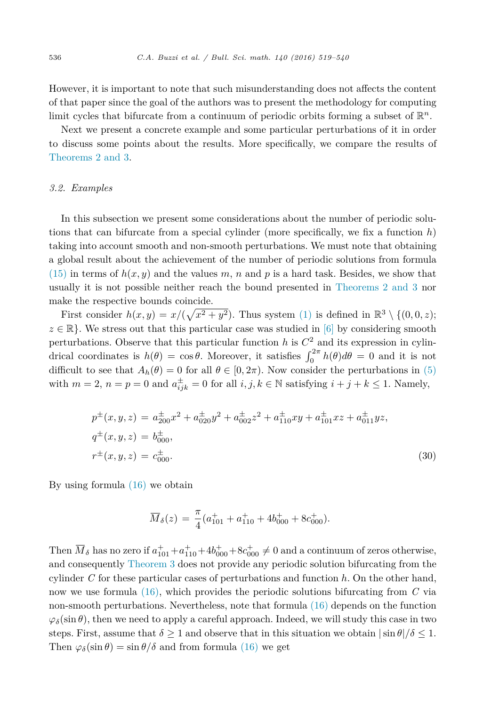<span id="page-17-0"></span>However, it is important to note that such misunderstanding does not affects the content of that paper since the goal of the authors was to present the methodology for computing limit cycles that bifurcate from a continuum of periodic orbits forming a subset of R*<sup>n</sup>*.

Next we present a concrete example and some particular perturbations of it in order to discuss some points about the results. More specifically, we compare the results of [Theorems 2 and](#page-9-0) 3.

#### *3.2. Examples*

In this subsection we present some considerations about the number of periodic solutions that can bifurcate from a special cylinder (more specifically, we fix a function  $h$ ) taking into account smooth and non-smooth perturbations. We must note that obtaining a global result about the achievement of the number of periodic solutions from formula  $(15)$  in terms of  $h(x, y)$  and the values *m*, *n* and *p* is a hard task. Besides, we show that usually it is not possible neither reach the bound presented in [Theorems 2 and](#page-9-0) 3 nor make the respective bounds coincide.

First consider  $h(x, y) = x/(\sqrt{x^2 + y^2})$ . Thus system [\(1\)](#page-1-0) is defined in  $\mathbb{R}^3 \setminus \{(0, 0, z);$  $z \in \mathbb{R}$ . We stress out that this particular case was studied in [\[6\]](#page-21-0) by considering smooth perturbations. Observe that this particular function  $h$  is  $C<sup>2</sup>$  and its expression in cylindrical coordinates is  $h(\theta) = \cos \theta$ . Moreover, it satisfies  $\int_0^{2\pi} h(\theta) d\theta = 0$  and it is not difficult to see that  $A_h(\theta) = 0$  for all  $\theta \in [0, 2\pi)$ . Now consider the perturbations in [\(5\)](#page-4-0) with  $m = 2$ ,  $n = p = 0$  and  $a_{ijk}^{\pm} = 0$  for all  $i, j, k \in \mathbb{N}$  satisfying  $i + j + k \le 1$ . Namely,

$$
p^{\pm}(x, y, z) = a^{\pm}_{200}x^2 + a^{\pm}_{020}y^2 + a^{\pm}_{002}z^2 + a^{\pm}_{110}xy + a^{\pm}_{101}xz + a^{\pm}_{011}yz,
$$
  
\n
$$
q^{\pm}(x, y, z) = b^{\pm}_{000},
$$
  
\n
$$
r^{\pm}(x, y, z) = c^{\pm}_{000}.
$$
\n(30)

By using formula [\(16\)](#page-10-0) we obtain

$$
\overline{M}_{\delta}(z) = \frac{\pi}{4}(a_{101}^+ + a_{110}^+ + 4b_{000}^+ + 8c_{000}^+).
$$

Then  $\overline{M}_{\delta}$  has no zero if  $a_{101}^+ + a_{110}^+ + 4b_{000}^+ + 8c_{000}^+ \neq 0$  and a continuum of zeros otherwise, and consequently [Theorem 3](#page-10-0) does not provide any periodic solution bifurcating from the cylinder *C* for these particular cases of perturbations and function *h*. On the other hand, now we use formula [\(16\),](#page-10-0) which provides the periodic solutions bifurcating from *C* via non-smooth perturbations. Nevertheless, note that formula [\(16\)](#page-10-0) depends on the function  $\varphi_{\delta}(\sin \theta)$ , then we need to apply a careful approach. Indeed, we will study this case in two steps. First, assume that  $\delta \geq 1$  and observe that in this situation we obtain  $|\sin \theta|/\delta \leq 1$ . Then  $\varphi_{\delta}(\sin \theta) = \sin \theta / \delta$  and from formula [\(16\)](#page-10-0) we get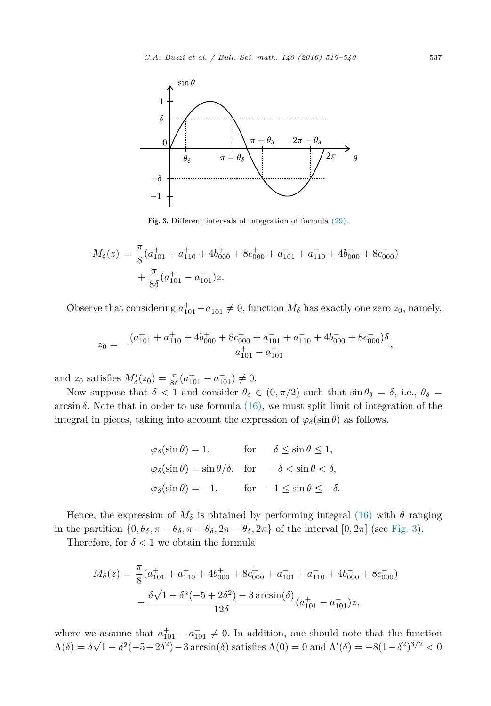

Fig. 3. Different intervals of integration of formula [\(29\).](#page-16-0)

$$
M_{\delta}(z) = \frac{\pi}{8} (a_{101}^+ + a_{110}^+ + 4b_{000}^+ + 8c_{000}^+ + a_{101}^- + a_{110}^- + 4b_{000}^- + 8c_{000}^-)
$$
  
+ 
$$
\frac{\pi}{8\delta} (a_{101}^+ - a_{101}^-)z.
$$

Observe that considering  $a_{101}^+ - a_{101}^- \neq 0$ , function  $M_\delta$  has exactly one zero  $z_0$ , namely,

$$
z_0 = -\frac{(a_{101}^+ + a_{110}^+ + 4b_{000}^+ + 8c_{000}^+ + a_{101}^- + a_{110}^- + 4b_{000}^- + 8c_{000}^-)\delta}{a_{101}^+ - a_{101}^-},
$$

and  $z_0$  satisfies  $M'_{\delta}(z_0) = \frac{\pi}{8\delta}(a_{101}^+ - a_{101}^-) \neq 0.$ 

Now suppose that  $\delta$  < 1 and consider  $\theta_{\delta} \in (0, \pi/2)$  such that  $\sin \theta_{\delta} = \delta$ , i.e.,  $\theta_{\delta} =$  $arcsin \delta$ . Note that in order to use formula  $(16)$ , we must split limit of integration of the integral in pieces, taking into account the expression of  $\varphi_{\delta}(\sin \theta)$  as follows.

$$
\varphi_{\delta}(\sin \theta) = 1, \quad \text{for} \quad \delta \le \sin \theta \le 1,
$$
  

$$
\varphi_{\delta}(\sin \theta) = \sin \theta/\delta, \quad \text{for} \quad -\delta < \sin \theta < \delta,
$$
  

$$
\varphi_{\delta}(\sin \theta) = -1, \quad \text{for} \quad -1 \le \sin \theta \le -\delta.
$$

Hence, the expression of  $M_{\delta}$  is obtained by performing integral [\(16\)](#page-10-0) with  $\theta$  ranging in the partition  $\{0, \theta_{\delta}, \pi - \theta_{\delta}, \pi + \theta_{\delta}, 2\pi - \theta_{\delta}, 2\pi\}$  of the interval  $[0, 2\pi]$  (see Fig. 3).

Therefore, for  $\delta < 1$  we obtain the formula

$$
M_{\delta}(z) = \frac{\pi}{8} (a_{101}^+ + a_{110}^+ + 4b_{000}^+ + 8c_{000}^+ + a_{101}^- + a_{110}^- + 4b_{000}^- + 8c_{000}^-)
$$

$$
- \frac{\delta \sqrt{1 - \delta^2} (-5 + 2\delta^2) - 3 \arcsin(\delta)}{12\delta} (a_{101}^+ - a_{101}^-)z,
$$

where we assume that  $a_{101}^+ - a_{101}^- \neq 0$ . In addition, one should note that the function  $\Lambda(\delta) = \delta\sqrt{1-\delta^2}(-5+2\delta^2) - 3 \arcsin(\delta)$  satisfies  $\Lambda(0) = 0$  and  $\Lambda'(\delta) = -8(1-\delta^2)^{3/2} < 0$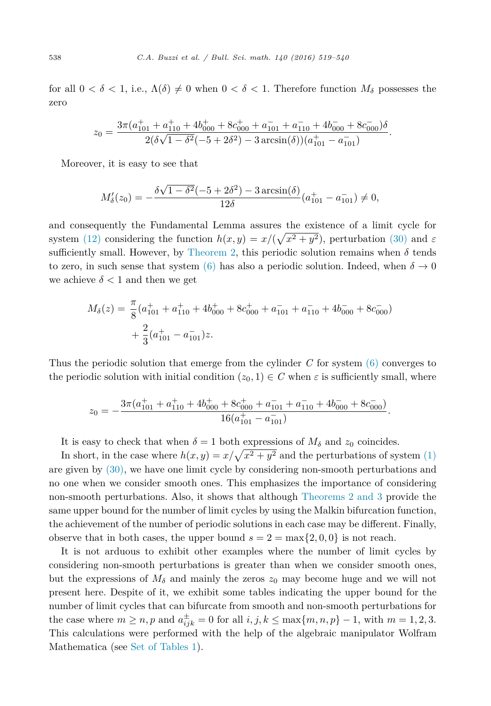for all  $0 < \delta < 1$ , i.e.,  $\Lambda(\delta) \neq 0$  when  $0 < \delta < 1$ . Therefore function  $M_{\delta}$  possesses the zero

$$
z_0 = \frac{3\pi (a_{101}^+ + a_{110}^+ + 4b_{000}^+ + 8c_{000}^+ + a_{101}^- + a_{110}^- + 4b_{000}^- + 8c_{000}^-)\delta}{2(\delta\sqrt{1-\delta^2}(-5+2\delta^2) - 3\arcsin(\delta))(a_{101}^+ - a_{101}^-)}.
$$

Moreover, it is easy to see that

$$
M'_{\delta}(z_0) = -\frac{\delta\sqrt{1-\delta^2}(-5+2\delta^2) - 3\arcsin(\delta)}{12\delta}(a_{101}^+ - a_{101}^-) \neq 0,
$$

and consequently the Fundamental Lemma assures the existence of a limit cycle for system [\(12\)](#page-8-0) considering the function  $h(x, y) = x/(\sqrt{x^2 + y^2})$ , perturbation [\(30\)](#page-17-0) and  $\varepsilon$ sufficiently small. However, by [Theorem 2,](#page-9-0) this periodic solution remains when  $\delta$  tends to zero, in such sense that system [\(6\)](#page-5-0) has also a periodic solution. Indeed, when  $\delta \to 0$ we achieve  $\delta$  < 1 and then we get

$$
M_{\delta}(z) = \frac{\pi}{8} (a_{101}^+ + a_{110}^+ + 4b_{000}^+ + 8c_{000}^+ + a_{101}^- + a_{110}^- + 4b_{000}^- + 8c_{000}^-)
$$
  
+  $\frac{2}{3} (a_{101}^+ - a_{101}^-)z$ .

Thus the periodic solution that emerge from the cylinder *C* for system [\(6\)](#page-5-0) converges to the periodic solution with initial condition  $(z_0, 1) \in C$  when  $\varepsilon$  is sufficiently small, where

$$
z_0 = -\frac{3\pi (a_{101}^+ + a_{110}^+ + 4b_{000}^+ + 8c_{000}^+ + a_{101}^- + a_{110}^- + 4b_{000}^- + 8c_{000}^-)}{16(a_{101}^+ - a_{101}^-)}.
$$

It is easy to check that when  $\delta = 1$  both expressions of  $M_{\delta}$  and  $z_0$  coincides.

In short, in the case where  $h(x, y) = x/\sqrt{x^2 + y^2}$  and the perturbations of system [\(1\)](#page-1-0) are given by [\(30\),](#page-17-0) we have one limit cycle by considering non-smooth perturbations and no one when we consider smooth ones. This emphasizes the importance of considering non-smooth perturbations. Also, it shows that although [Theorems 2 and](#page-9-0) 3 provide the same upper bound for the number of limit cycles by using the Malkin bifurcation function, the achievement of the number of periodic solutions in each case may be different. Finally, observe that in both cases, the upper bound  $s = 2 = \max\{2, 0, 0\}$  is not reach.

It is not arduous to exhibit other examples where the number of limit cycles by considering non-smooth perturbations is greater than when we consider smooth ones, but the expressions of  $M_{\delta}$  and mainly the zeros  $z_0$  may become huge and we will not present here. Despite of it, we exhibit some tables indicating the upper bound for the number of limit cycles that can bifurcate from smooth and non-smooth perturbations for the case where  $m \ge n$ ,  $p$  and  $a_{ijk}^{\pm} = 0$  for all  $i, j, k \le \max\{m, n, p\} - 1$ , with  $m = 1, 2, 3$ . This calculations were performed with the help of the algebraic manipulator Wolfram Mathematica (see Set of [Tables 1\)](#page-20-0).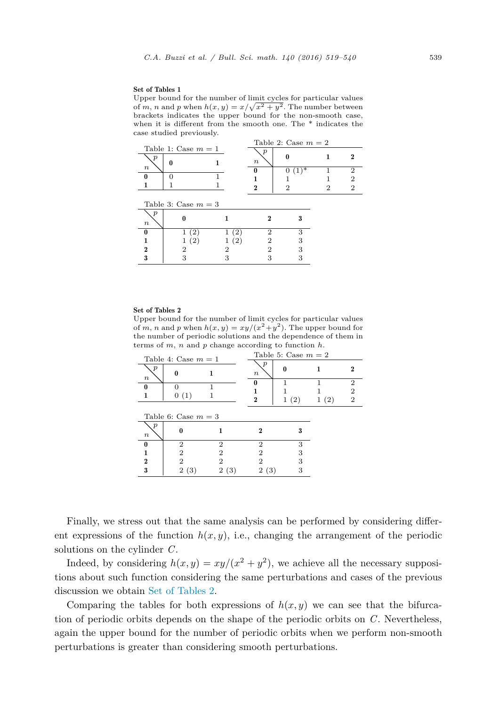#### <span id="page-20-0"></span>Set of Tables 1

Upper bound for the number of limit cycles for particular values of *m*, *n* and *p* when  $h(x, y) = x/\sqrt{x^2 + y^2}$ . The number between brackets indicates the upper bound for the non-smooth case, when it is different from the smooth one. The \* indicates the case studied previously.

| $\cdot$<br>Table 2: Case $m = 2$<br>Table 1: Case $m = 1$ |                       |  |             |             |   |             |  |  |  |
|-----------------------------------------------------------|-----------------------|--|-------------|-------------|---|-------------|--|--|--|
| р                                                         | 0                     |  | n<br>$\, n$ |             |   |             |  |  |  |
| $\boldsymbol{n}$                                          | 0                     |  | 9           | ∗<br>0<br>2 | 9 | 2<br>2<br>2 |  |  |  |
|                                                           | Table 3: Case $m = 3$ |  |             |             |   |             |  |  |  |
| р<br>$\boldsymbol{n}$                                     |                       |  |             |             |   |             |  |  |  |
| 0                                                         |                       |  | っ           | 3           |   |             |  |  |  |
|                                                           |                       |  |             |             |   |             |  |  |  |
|                                                           |                       |  |             |             |   |             |  |  |  |

3 3 3 33

#### Set of Tables 2

Upper bound for the number of limit cycles for particular values of *m*, *n* and *p* when  $h(x, y) = xy/(x^2 + y^2)$ . The upper bound for the number of periodic solutions and the dependence of them in terms of *m*, *n* and *p* change according to function *h*.

| Table 4: Case $m = 1$                |                     |                | Table 5: Case $m=2$        |      |      |                                       |  |
|--------------------------------------|---------------------|----------------|----------------------------|------|------|---------------------------------------|--|
| $\boldsymbol{v}$<br>$\boldsymbol{n}$ |                     |                | $\boldsymbol{p}$<br>$\, n$ | 0    |      |                                       |  |
|                                      | 0(1)                |                | N<br>2                     | 1(2) | 1(2) | $\overline{2}$<br>2<br>$\overline{2}$ |  |
|                                      | Table 6: Case $m=3$ |                |                            |      |      |                                       |  |
| $\boldsymbol{p}$<br>$\boldsymbol{n}$ |                     |                |                            | 3    |      |                                       |  |
| 0                                    | 2                   | 2              | 2                          | 3    |      |                                       |  |
| 1                                    | っ                   | 2              | 9                          | З    |      |                                       |  |
| $\overline{2}$                       | っ                   | $\overline{2}$ |                            | 3    |      |                                       |  |
| 3                                    | (3)<br>2            | 2<br>(3)       | (3)<br>$^{2}$              | З    |      |                                       |  |

Finally, we stress out that the same analysis can be performed by considering different expressions of the function  $h(x, y)$ , i.e., changing the arrangement of the periodic solutions on the cylinder *C*.

Indeed, by considering  $h(x, y) = xy/(x^2 + y^2)$ , we achieve all the necessary suppositions about such function considering the same perturbations and cases of the previous discussion we obtain Set of Tables 2.

Comparing the tables for both expressions of  $h(x, y)$  we can see that the bifurcation of periodic orbits depends on the shape of the periodic orbits on *C*. Nevertheless, again the upper bound for the number of periodic orbits when we perform non-smooth perturbations is greater than considering smooth perturbations.